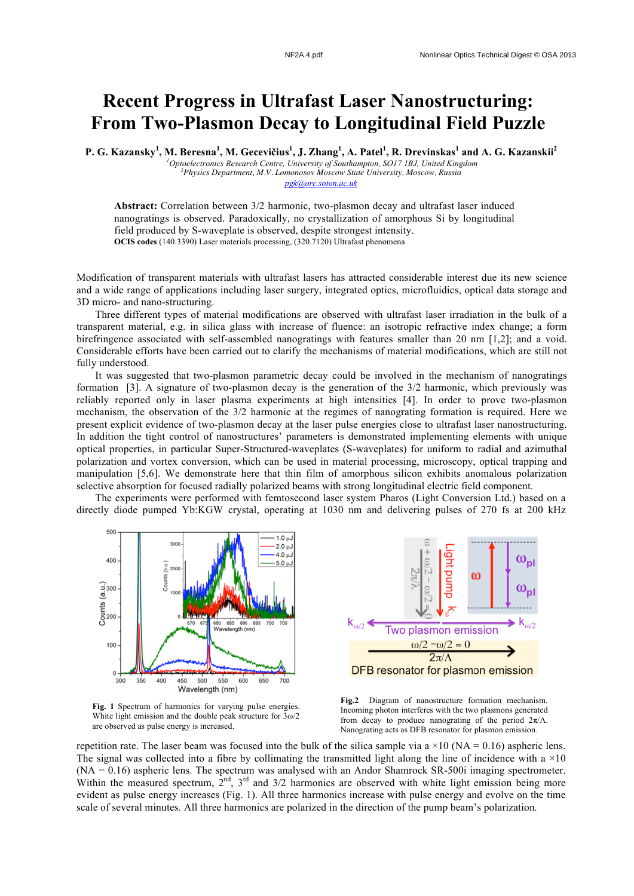## **Recent Progress in Ultrafast Laser Nanostructuring: From Two-Plasmon Decay to Longitudinal Field Puzzle**

P. G. Kazansky<sup>1</sup>, M. Beresna<sup>1</sup>, M. Gecevičius<sup>1</sup>, J. Zhang<sup>1</sup>, A. Patel<sup>1</sup>, R. Drevinskas<sup>1</sup> and A. G. Kazanskii<sup>2</sup>

*1 Optoelectronics Research Centre, University of Southampton, SO17 1BJ, United Kingdom 2 Physics Department, M.V. Lomonosov Moscow State University, Moscow, Russia pgk@orc.soton.ac.uk*

**Abstract:** Correlation between 3/2 harmonic, two-plasmon decay and ultrafast laser induced nanogratings is observed. Paradoxically, no crystallization of amorphous Si by longitudinal field produced by S-waveplate is observed, despite strongest intensity. **OCIS codes** (140.3390) Laser materials processing, (320.7120) Ultrafast phenomena

Modification of transparent materials with ultrafast lasers has attracted considerable interest due its new science and a wide range of applications including laser surgery, integrated optics, microfluidics, optical data storage and 3D micro- and nano-structuring.

Three different types of material modifications are observed with ultrafast laser irradiation in the bulk of a transparent material, e.g. in silica glass with increase of fluence: an isotropic refractive index change; a form birefringence associated with self-assembled nanogratings with features smaller than 20 nm [1,2]; and a void. Considerable efforts have been carried out to clarify the mechanisms of material modifications, which are still not fully understood.

It was suggested that two-plasmon parametric decay could be involved in the mechanism of nanogratings formation [3]. A signature of two-plasmon decay is the generation of the 3/2 harmonic, which previously was reliably reported only in laser plasma experiments at high intensities [4]. In order to prove two-plasmon mechanism, the observation of the 3/2 harmonic at the regimes of nanograting formation is required. Here we present explicit evidence of two-plasmon decay at the laser pulse energies close to ultrafast laser nanostructuring. In addition the tight control of nanostructures' parameters is demonstrated implementing elements with unique optical properties, in particular Super-Structured-waveplates (S-waveplates) for uniform to radial and azimuthal polarization and vortex conversion, which can be used in material processing, microscopy, optical trapping and manipulation [5,6]. We demonstrate here that thin film of amorphous silicon exhibits anomalous polarization selective absorption for focused radially polarized beams with strong longitudinal electric field component.

The experiments were performed with femtosecond laser system Pharos (Light Conversion Ltd.) based on a directly diode pumped Yb:KGW crystal, operating at 1030 nm and delivering pulses of 270 fs at 200 kHz



**Fig. 1** Spectrum of harmonics for varying pulse energies. White light emission and the double peak structure for 3ω/2 are observed as pulse energy is increased.

**Fig.2** Diagram of nanostructure formation mechanism. Incoming photon interferes with the two plasmons generated from decay to produce nanograting of the period  $2\pi/\Lambda$ . Nanograting acts as DFB resonator for plasmon emission.

ω

 $\omega_{\rm p}$ 

repetition rate. The laser beam was focused into the bulk of the silica sample via a  $\times$ 10 (NA = 0.16) aspheric lens. The signal was collected into a fibre by collimating the transmitted light along the line of incidence with a  $\times 10$ (NA = 0.16) aspheric lens. The spectrum was analysed with an Andor Shamrock SR-500i imaging spectrometer. Within the measured spectrum,  $2<sup>nd</sup>$ ,  $3<sup>rd</sup>$  and  $3/2$  harmonics are observed with white light emission being more evident as pulse energy increases (Fig. 1). All three harmonics increase with pulse energy and evolve on the time scale of several minutes. All three harmonics are polarized in the direction of the pump beam's polarization.